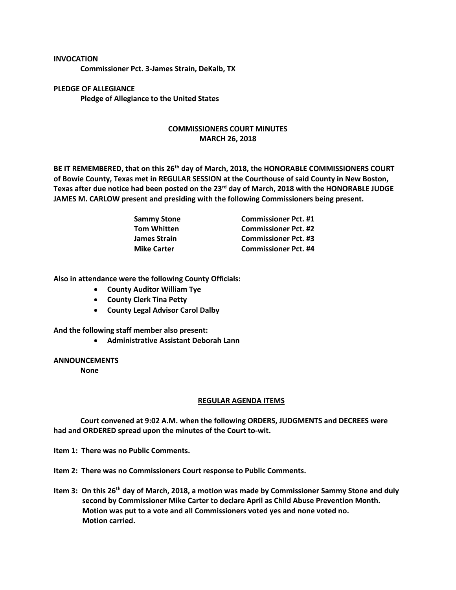## **INVOCATION**

**Commissioner Pct. 3-James Strain, DeKalb, TX**

**PLEDGE OF ALLEGIANCE Pledge of Allegiance to the United States**

## **COMMISSIONERS COURT MINUTES MARCH 26, 2018**

**BE IT REMEMBERED, that on this 26th day of March, 2018, the HONORABLE COMMISSIONERS COURT of Bowie County, Texas met in REGULAR SESSION at the Courthouse of said County in New Boston, Texas after due notice had been posted on the 23rd day of March, 2018 with the HONORABLE JUDGE JAMES M. CARLOW present and presiding with the following Commissioners being present.**

| <b>Sammy Stone</b>  | <b>Commissioner Pct. #1</b> |
|---------------------|-----------------------------|
| <b>Tom Whitten</b>  | <b>Commissioner Pct. #2</b> |
| <b>James Strain</b> | <b>Commissioner Pct. #3</b> |
| <b>Mike Carter</b>  | <b>Commissioner Pct. #4</b> |

**Also in attendance were the following County Officials:**

- **County Auditor William Tye**
- **County Clerk Tina Petty**
- **County Legal Advisor Carol Dalby**

**And the following staff member also present:**

• **Administrative Assistant Deborah Lann**

**ANNOUNCEMENTS**

**None**

## **REGULAR AGENDA ITEMS**

**Court convened at 9:02 A.M. when the following ORDERS, JUDGMENTS and DECREES were had and ORDERED spread upon the minutes of the Court to-wit.**

**Item 1: There was no Public Comments.**

**Item 2: There was no Commissioners Court response to Public Comments.**

**Item 3: On this 26th day of March, 2018, a motion was made by Commissioner Sammy Stone and duly second by Commissioner Mike Carter to declare April as Child Abuse Prevention Month. Motion was put to a vote and all Commissioners voted yes and none voted no. Motion carried.**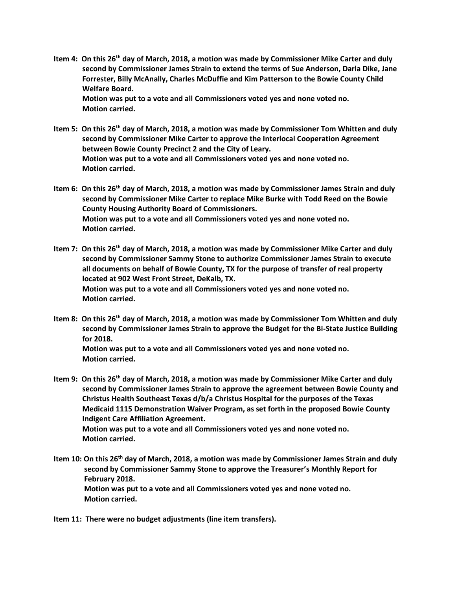**Item 4: On this 26th day of March, 2018, a motion was made by Commissioner Mike Carter and duly second by Commissioner James Strain to extend the terms of Sue Anderson, Darla Dike, Jane Forrester, Billy McAnally, Charles McDuffie and Kim Patterson to the Bowie County Child Welfare Board.**

**Motion was put to a vote and all Commissioners voted yes and none voted no. Motion carried.**

- **Item 5: On this 26th day of March, 2018, a motion was made by Commissioner Tom Whitten and duly second by Commissioner Mike Carter to approve the Interlocal Cooperation Agreement between Bowie County Precinct 2 and the City of Leary. Motion was put to a vote and all Commissioners voted yes and none voted no. Motion carried.**
- **Item 6: On this 26th day of March, 2018, a motion was made by Commissioner James Strain and duly second by Commissioner Mike Carter to replace Mike Burke with Todd Reed on the Bowie County Housing Authority Board of Commissioners. Motion was put to a vote and all Commissioners voted yes and none voted no. Motion carried.**
- **Item 7: On this 26th day of March, 2018, a motion was made by Commissioner Mike Carter and duly second by Commissioner Sammy Stone to authorize Commissioner James Strain to execute all documents on behalf of Bowie County, TX for the purpose of transfer of real property located at 902 West Front Street, DeKalb, TX. Motion was put to a vote and all Commissioners voted yes and none voted no. Motion carried.**
- **Item 8: On this 26th day of March, 2018, a motion was made by Commissioner Tom Whitten and duly second by Commissioner James Strain to approve the Budget for the Bi-State Justice Building for 2018.**

**Motion was put to a vote and all Commissioners voted yes and none voted no. Motion carried.**

**Item 9: On this 26th day of March, 2018, a motion was made by Commissioner Mike Carter and duly second by Commissioner James Strain to approve the agreement between Bowie County and Christus Health Southeast Texas d/b/a Christus Hospital for the purposes of the Texas Medicaid 1115 Demonstration Waiver Program, as set forth in the proposed Bowie County Indigent Care Affiliation Agreement. Motion was put to a vote and all Commissioners voted yes and none voted no. Motion carried.**

**Item 10: On this 26th day of March, 2018, a motion was made by Commissioner James Strain and duly second by Commissioner Sammy Stone to approve the Treasurer's Monthly Report for February 2018. Motion was put to a vote and all Commissioners voted yes and none voted no. Motion carried.**

**Item 11: There were no budget adjustments (line item transfers).**